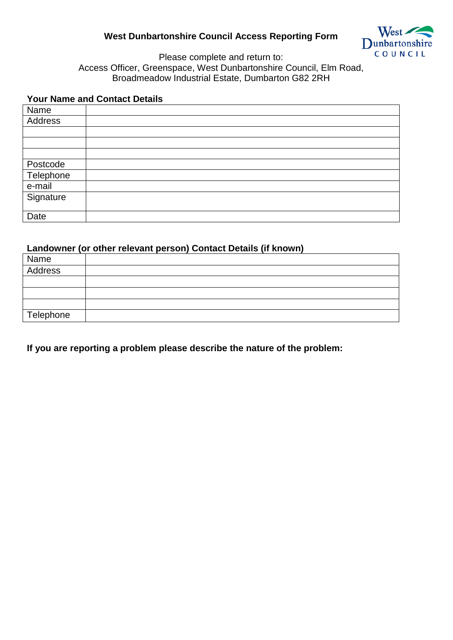## **West Dunbartonshire Council Access Reporting Form**



Please complete and return to: Access Officer, Greenspace, West Dunbartonshire Council, Elm Road, Broadmeadow Industrial Estate, Dumbarton G82 2RH

## **Your Name and Contact Details**

| Name                  |  |
|-----------------------|--|
| Address               |  |
|                       |  |
|                       |  |
|                       |  |
|                       |  |
| Postcode<br>Telephone |  |
| e-mail                |  |
| Signature             |  |
|                       |  |
| Date                  |  |

## **Landowner (or other relevant person) Contact Details (if known)**

| Name      |  |
|-----------|--|
| Address   |  |
|           |  |
|           |  |
|           |  |
| Telephone |  |

**If you are reporting a problem please describe the nature of the problem:**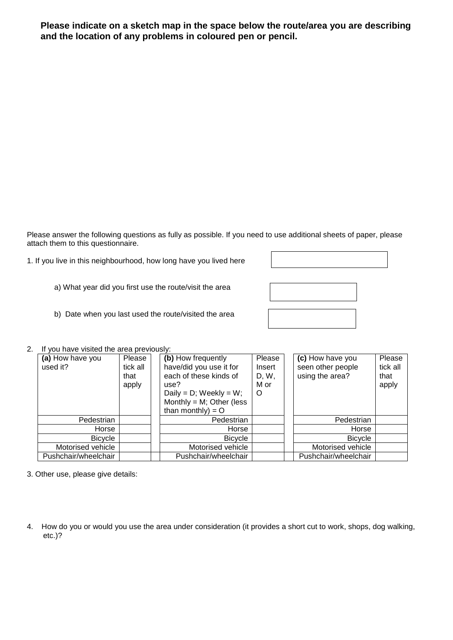**Please indicate on a sketch map in the space below the route/area you are describing and the location of any problems in coloured pen or pencil.**

Please answer the following questions as fully as possible. If you need to use additional sheets of paper, please attach them to this questionnaire.

1. If you live in this neighbourhood, how long have you lived here

a) What year did you first use the route/visit the area



b) Date when you last used the route/visited the area

## 2. If you have visited the area previously:

| (a) How have you<br>used it? | Please<br>tick all<br>that<br>apply | (b) How frequently<br>have/did you use it for<br>each of these kinds of<br>use?<br>Daily = $D$ ; Weekly = W;<br>Monthly = $M$ ; Other (less | Please<br>Insert<br>D, W,<br>M or<br>O | (c) How have you<br>Please<br>tick all<br>seen other people<br>using the area?<br>that<br>apply |
|------------------------------|-------------------------------------|---------------------------------------------------------------------------------------------------------------------------------------------|----------------------------------------|-------------------------------------------------------------------------------------------------|
|                              |                                     | than monthly) = $O$                                                                                                                         |                                        |                                                                                                 |
| Pedestrian                   |                                     | Pedestrian                                                                                                                                  |                                        | Pedestrian                                                                                      |
| Horse                        |                                     | Horse                                                                                                                                       |                                        | Horse                                                                                           |
| <b>Bicycle</b>               |                                     | <b>Bicycle</b>                                                                                                                              |                                        | <b>Bicycle</b>                                                                                  |
| Motorised vehicle            |                                     | Motorised vehicle                                                                                                                           |                                        | Motorised vehicle                                                                               |
| Pushchair/wheelchair         |                                     | Pushchair/wheelchair                                                                                                                        |                                        | Pushchair/wheelchair                                                                            |

3. Other use, please give details:

4. How do you or would you use the area under consideration (it provides a short cut to work, shops, dog walking, etc.)?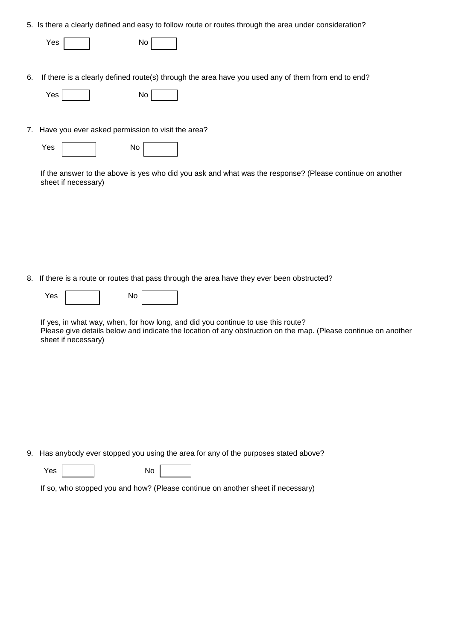|  |  | 5. Is there a clearly defined and easy to follow route or routes through the area under consideration? |
|--|--|--------------------------------------------------------------------------------------------------------|
|  |  |                                                                                                        |

| Yes | No |  |
|-----|----|--|
|     |    |  |

6. If there is a clearly defined route(s) through the area have you used any of them from end to end?

7. Have you ever asked permission to visit the area?

| Yes | No |  |
|-----|----|--|
|     |    |  |

If the answer to the above is yes who did you ask and what was the response? (Please continue on another sheet if necessary)

8. If there is a route or routes that pass through the area have they ever been obstructed?

| Yes | No |  |
|-----|----|--|
|-----|----|--|

If yes, in what way, when, for how long, and did you continue to use this route? Please give details below and indicate the location of any obstruction on the map. (Please continue on another sheet if necessary)

9. Has anybody ever stopped you using the area for any of the purposes stated above?

Yes No

If so, who stopped you and how? (Please continue on another sheet if necessary)